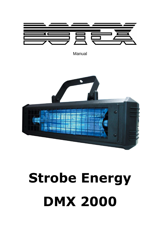

**Manual** 



# **Strobe Energy DMX 2000**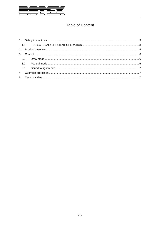

# **Table of Content**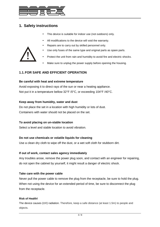

## **1. Safety instructions**

- This device is suitable for indoor use (not outdoors) only.
- All modifications to the device will void the warranty.
- Repairs are to carry out by skilled personnel only.



- Use only fuses of the same type and original parts as spare parts.
- Protect the unit from rain and humidity to avoid fire and electric shocks.
- Make sure to unplug the power supply before opening the housing.

## **1.1. FOR SAFE AND EFFICIENT OPERATION**

#### **Be careful with heat and extreme temperature**

Avoid exposing it to direct rays of the sun or near a heating appliance. Not put it in a temperature bellow 32°F /0°C, or exceeding 104°F /40°C.

#### **Keep away from humidity, water and dust**

Do not place the set in a location with high humidity or lots of dust. Containers with water should not be placed on the set.

#### **To avoid placing on un-stable location**

Select a level and stable location to avoid vibration.

#### **Do not use chemicals or volatile liquids for cleaning**

Use a clean dry cloth to wipe off the dust, or a wet soft cloth for stubborn dirt.

#### **If out of work, contact sales agency immediately**

Any troubles arose, remove the power plug soon, and contact with an engineer for repairing, do not open the cabinet by yourself, it might result a danger of electric shock.

#### **Take care with the power cable**

Never pull the power cable to remove the plug from the receptacle, be sure to hold the plug. When not using the device for an extended period of time, be sure to disconnect the plug from the receptacle.

#### **Risk of Health!**

The device causes (UV) radiation. Therefore, keep a safe distance (at least 1.5m) to people and objects.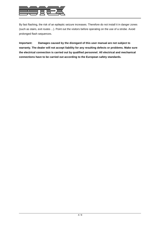

By fast flashing, the risk of an epileptic seizure increases. Therefore do not install it in danger zones (such as stairs, exit routes ...). Point out the visitors before operating on the use of a strobe. Avoid prolonged flash sequences.

**Important: Damages caused by the disregard of this user manual are not subject to warranty. The dealer will not accept liability for any resulting defects or problems. Make sure the electrical connection is carried out by qualified personnel. All electrical and mechanical connections have to be carried out according to the European safety standards.**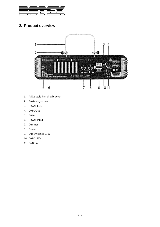

# **2. Product overview**



- 1. Adjustable hanging bracket
- 2. Fastening screw
- 3. Power LED
- 4. DMX Out
- 5. Fuse
- 6. Power input
- 7. Dimmer
- 8. Speed
- 9. Dip-Switches 1-10
- 10. DMX LED
- 11. DMX In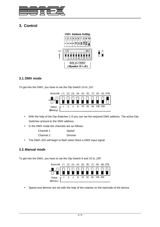

# **3. Control**



## **3.1. DMX mode**

To get into the DMX, you have to set the Dip-Switch 10 to "On".



- With the help of the Dip-Switches 1-9 you can set the required DMX address. The active Dip-Switches amount to the DMX address.
- In the DMX mode the channels are as follows:

| Speed |
|-------|
|       |

- Channel 2 Dimmer
- The DMX LED will begin to flash when there a DMX input signal.

## **3.2. Manual mode**

To get into the DMX, you have to set the Dip-Switch 9 and 10 to "Off".



• Speed and dimmer are set with the help of the rotaries on the backside of the device.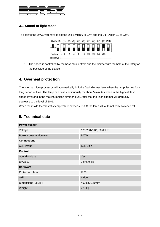

## **3.3. Sound-to-light mode**

To get into the DMX, you have to set the Dip-Switch 9 to "On" and the Dip-Switch 10 to "Off".



• The speed is controlled by the bass music effect and the dimmer with the help of the rotary on the backside of the device.

## **4. Overheat protection**

The internal micro processor will automatically limit the flash dimmer level when the lamp flashes for a long period of time. The lamp can flash continuously for about 5 minutes when in the highest flash speed level and in the maximum flash dimmer level. After that the flash dimmer will gradually decrease to the level of 50%.

When the inside thermostat's temperature exceeds 100°C the lamp will automatically switched off.

## **5. Technical data**

| <b>Power supply</b>    |                      |  |  |  |
|------------------------|----------------------|--|--|--|
| Voltage                | 120-230V AC, 50/60Hz |  |  |  |
| Power consumption max. | 800W                 |  |  |  |
| <b>Connections</b>     |                      |  |  |  |
| XLR in/out             | XLR 3pin             |  |  |  |
| <b>Control</b>         |                      |  |  |  |
| Sound-to-light         | <b>Yes</b>           |  |  |  |
| <b>DMX512</b>          | 2 channels           |  |  |  |
| <b>Hardware</b>        |                      |  |  |  |
| Protection class       | <b>IP20</b>          |  |  |  |
| <b>Skill</b>           | Indoor               |  |  |  |
| Dimensions (LxBxH)     | 400x85x150mm         |  |  |  |
| Weight                 | 2,15kg               |  |  |  |